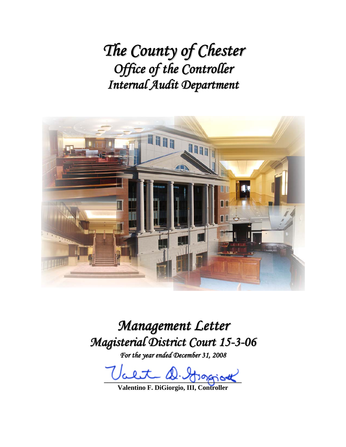*The County of Chester Office of the Controller Internal Audit Department*



*Management Letter Magisterial District Court 15-3-06*

*For the year ended December 31, 2008*

alet D. Grapiot

**Valentino F. DiGiorgio, III, Controller**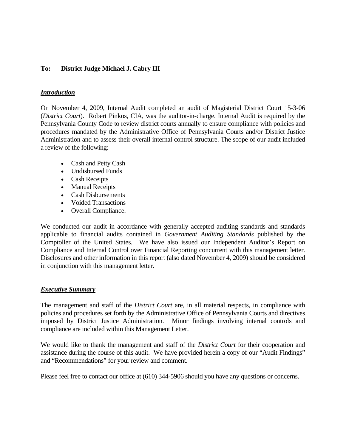## **To: District Judge Michael J. Cabry III**

### *Introduction*

On November 4, 2009, Internal Audit completed an audit of Magisterial District Court 15-3-06 (*District Court*). Robert Pinkos, CIA, was the auditor-in-charge. Internal Audit is required by the Pennsylvania County Code to review district courts annually to ensure compliance with policies and procedures mandated by the Administrative Office of Pennsylvania Courts and/or District Justice Administration and to assess their overall internal control structure. The scope of our audit included a review of the following:

- Cash and Petty Cash
- Undisbursed Funds
- Cash Receipts
- Manual Receipts
- Cash Disbursements
- Voided Transactions
- Overall Compliance.

We conducted our audit in accordance with generally accepted auditing standards and standards applicable to financial audits contained in *Government Auditing Standards* published by the Comptoller of the United States. We have also issued our Independent Auditor's Report on Compliance and Internal Control over Financial Reporting concurrent with this management letter. Disclosures and other information in this report (also dated November 4, 2009) should be considered in conjunction with this management letter.

### *Executive Summary*

The management and staff of the *District Court* are, in all material respects, in compliance with policies and procedures set forth by the Administrative Office of Pennsylvania Courts and directives imposed by District Justice Administration. Minor findings involving internal controls and compliance are included within this Management Letter.

We would like to thank the management and staff of the *District Court* for their cooperation and assistance during the course of this audit. We have provided herein a copy of our "Audit Findings" and "Recommendations" for your review and comment.

Please feel free to contact our office at (610) 344-5906 should you have any questions or concerns.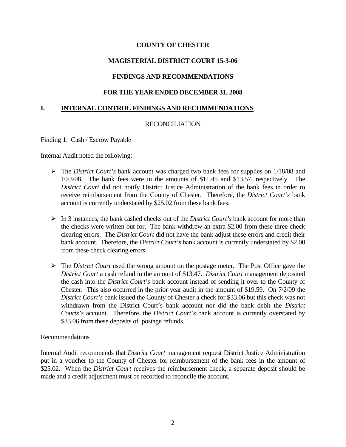## **MAGISTERIAL DISTRICT COURT 15-3-06**

## **FINDINGS AND RECOMMENDATIONS**

## **FOR THE YEAR ENDED DECEMBER 31, 2008**

### **I. INTERNAL CONTROL FINDINGS AND RECOMMENDATIONS**

### RECONCILIATION

#### Finding 1: Cash / Escrow Payable

Internal Audit noted the following:

- The *District Court's* bank account was charged two bank fees for supplies on 1/18/08 and 10/3/08. The bank fees were in the amounts of \$11.45 and \$13.57, respectively. The *District Court* did not notify District Justice Administration of the bank fees in order to receive reimbursement from the County of Chester. Therefore, the *District Court's* bank account is currently understated by \$25.02 from these bank fees.
- $\triangleright$  In 3 instances, the bank cashed checks out of the *District Court's* bank account for more than the checks were written out for. The bank withdrew an extra \$2.00 from these three check clearing errors. The *District Court* did not have the bank adjust these errors and credit their bank account. Therefore, the *District Court's* bank account is currently understated by \$2.00 from these check clearing errors.
- The *District Court* used the wrong amount on the postage meter. The Post Office gave the *District Court* a cash refund in the amount of \$13.47. *District Court* management deposited the cash into the *District Court's* bank account instead of sending it over to the County of Chester. This also occurred in the prior year audit in the amount of \$19.59. On 7/2/09 the *District Court's* bank issued the County of Chester a check for \$33.06 but this check was not withdrawn from the District Court's bank account nor did the bank debit the *District Courts's* account. Therefore, the *District Court's* bank account is currently overstated by \$33.06 from these deposits of postage refunds.

### Recommendations

Internal Audit recommends that *District Court* management request District Justice Administration put in a voucher to the County of Chester for reimbursement of the bank fees in the amount of \$25.02. When the *District Court* receives the reimbursement check, a separate deposit should be made and a credit adjustment must be recorded to reconcile the account.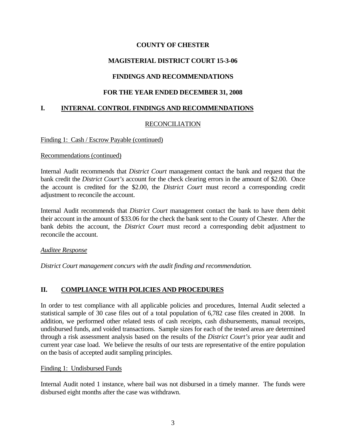## **MAGISTERIAL DISTRICT COURT 15-3-06**

## **FINDINGS AND RECOMMENDATIONS**

## **FOR THE YEAR ENDED DECEMBER 31, 2008**

### **I. INTERNAL CONTROL FINDINGS AND RECOMMENDATIONS**

### RECONCILIATION

#### Finding 1: Cash / Escrow Payable (continued)

#### Recommendations (continued)

Internal Audit recommends that *District Court* management contact the bank and request that the bank credit the *District Court's* account for the check clearing errors in the amount of \$2.00. Once the account is credited for the \$2.00, the *District Court* must record a corresponding credit adjustment to reconcile the account.

Internal Audit recommends that *District Court* management contact the bank to have them debit their account in the amount of \$33.06 for the check the bank sent to the County of Chester. After the bank debits the account, the *District Court* must record a corresponding debit adjustment to reconcile the account.

### *Auditee Response*

*District Court management concurs with the audit finding and recommendation.*

## **II. COMPLIANCE WITH POLICIES AND PROCEDURES**

In order to test compliance with all applicable policies and procedures, Internal Audit selected a statistical sample of 30 case files out of a total population of 6,782 case files created in 2008. In addition, we performed other related tests of cash receipts, cash disbursements, manual receipts, undisbursed funds, and voided transactions. Sample sizes for each of the tested areas are determined through a risk assessment analysis based on the results of the *District Court's* prior year audit and current year case load. We believe the results of our tests are representative of the entire population on the basis of accepted audit sampling principles.

#### Finding 1: Undisbursed Funds

Internal Audit noted 1 instance, where bail was not disbursed in a timely manner. The funds were disbursed eight months after the case was withdrawn.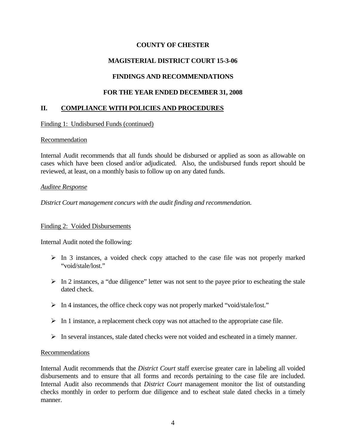# **MAGISTERIAL DISTRICT COURT 15-3-06**

# **FINDINGS AND RECOMMENDATIONS**

## **FOR THE YEAR ENDED DECEMBER 31, 2008**

## **II. COMPLIANCE WITH POLICIES AND PROCEDURES**

Finding 1: Undisbursed Funds (continued)

### Recommendation

Internal Audit recommends that all funds should be disbursed or applied as soon as allowable on cases which have been closed and/or adjudicated. Also, the undisbursed funds report should be reviewed, at least, on a monthly basis to follow up on any dated funds.

### *Auditee Response*

*District Court management concurs with the audit finding and recommendation.*

### Finding 2: Voided Disbursements

Internal Audit noted the following:

- $\triangleright$  In 3 instances, a voided check copy attached to the case file was not properly marked "void/stale/lost"
- $\triangleright$  In 2 instances, a "due diligence" letter was not sent to the payee prior to escheating the stale dated check.
- $\triangleright$  In 4 instances, the office check copy was not properly marked "void/stale/lost."
- $\triangleright$  In 1 instance, a replacement check copy was not attached to the appropriate case file.
- $\triangleright$  In several instances, stale dated checks were not voided and escheated in a timely manner.

## Recommendations

Internal Audit recommends that the *District Court* staff exercise greater care in labeling all voided disbursements and to ensure that all forms and records pertaining to the case file are included. Internal Audit also recommends that *District Court* management monitor the list of outstanding checks monthly in order to perform due diligence and to escheat stale dated checks in a timely manner.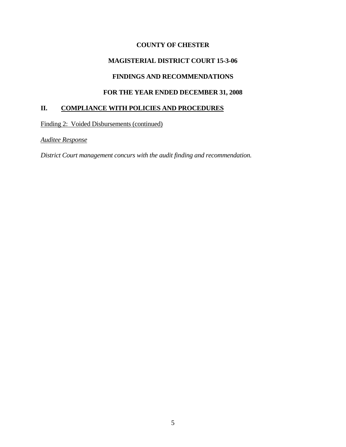# **MAGISTERIAL DISTRICT COURT 15-3-06**

# **FINDINGS AND RECOMMENDATIONS**

# **FOR THE YEAR ENDED DECEMBER 31, 2008**

## **II. COMPLIANCE WITH POLICIES AND PROCEDURES**

Finding 2: Voided Disbursements (continued)

*Auditee Response*

*District Court management concurs with the audit finding and recommendation.*